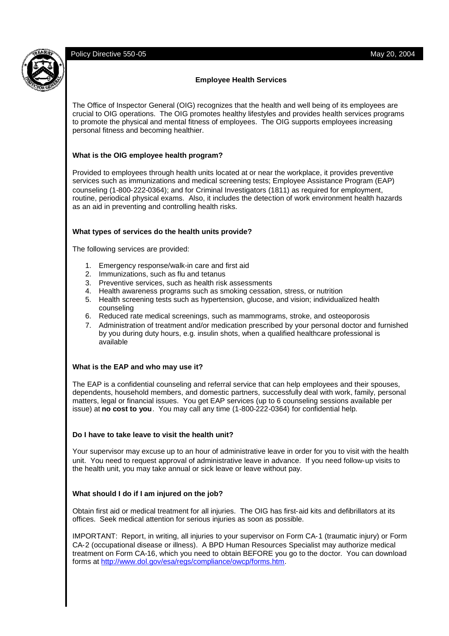### **Employee Health Services**

The Office of Inspector General (OIG) recognizes that the health and well being of its employees are crucial to OIG operations. The OIG promotes healthy lifestyles and provides health services programs to promote the physical and mental fitness of employees. The OIG supports employees increasing personal fitness and becoming healthier.

# **What is the OIG employee health program?**

Provided to employees through health units located at or near the workplace, it provides preventive services such as immunizations and medical screening tests; Employee Assistance Program (EAP) counseling (1-800-222-0364); and for Criminal Investigators (1811) as required for employment, routine, periodical physical exams. Also, it includes the detection of work environment health hazards as an aid in preventing and controlling health risks.

# **What types of services do the health units provide?**

The following services are provided:

- 1. Emergency response/walk-in care and first aid
- 2. Immunizations, such as flu and tetanus
- 3. Preventive services, such as health risk assessments
- 4. Health awareness programs such as smoking cessation, stress, or nutrition
- 5. Health screening tests such as hypertension, glucose, and vision; individualized health counseling
- 6. Reduced rate medical screenings, such as mammograms, stroke, and osteoporosis
- 7. Administration of treatment and/or medication prescribed by your personal doctor and furnished by you during duty hours, e.g. insulin shots, when a qualified healthcare professional is available

### **What is the EAP and who may use it?**

The EAP is a confidential counseling and referral service that can help employees and their spouses, dependents, household members, and domestic partners, successfully deal with work, family, personal matters, legal or financial issues. You get EAP services (up to 6 counseling sessions available per issue) at **no cost to you**. You may call any time (1-800-222-0364) for confidential help.

### **Do I have to take leave to visit the health unit?**

Your supervisor may excuse up to an hour of administrative leave in order for you to visit with the health unit. You need to request approval of administrative leave in advance. If you need follow-up visits to the health unit, you may take annual or sick leave or leave without pay.

### **What should I do if I am injured on the job?**

Obtain first aid or medical treatment for all injuries. The OIG has first-aid kits and defibrillators at its offices. Seek medical attention for serious injuries as soon as possible.

IMPORTANT: Report, in writing, all injuries to your supervisor on Form CA-1 (traumatic injury) or Form CA-2 (occupational disease or illness). A BPD Human Resources Specialist may authorize medical treatment on Form CA-16, which you need to obtain BEFORE you go to the doctor. You can download forms at http://www.dol.gov/esa/regs/compliance/owcp/forms.htm.